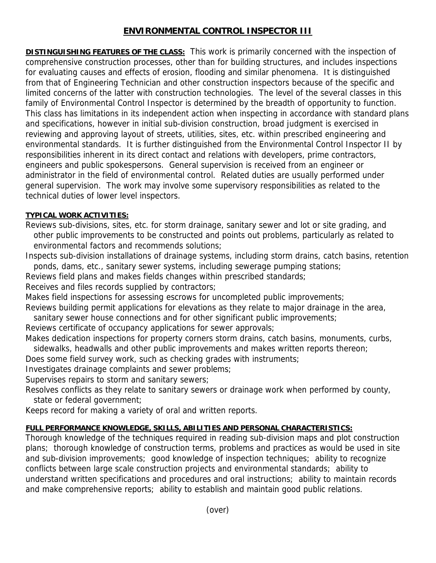## **ENVIRONMENTAL CONTROL INSPECTOR III**

**DISTINGUISHING FEATURES OF THE CLASS:** This work is primarily concerned with the inspection of comprehensive construction processes, other than for building structures, and includes inspections for evaluating causes and effects of erosion, flooding and similar phenomena. It is distinguished from that of Engineering Technician and other construction inspectors because of the specific and limited concerns of the latter with construction technologies. The level of the several classes in this family of Environmental Control Inspector is determined by the breadth of opportunity to function. This class has limitations in its independent action when inspecting in accordance with standard plans and specifications, however in initial sub-division construction, broad judgment is exercised in reviewing and approving layout of streets, utilities, sites, etc. within prescribed engineering and environmental standards. It is further distinguished from the Environmental Control Inspector II by responsibilities inherent in its direct contact and relations with developers, prime contractors, engineers and public spokespersons. General supervision is received from an engineer or administrator in the field of environmental control. Related duties are usually performed under general supervision. The work may involve some supervisory responsibilities as related to the technical duties of lower level inspectors.

## **TYPICAL WORK ACTIVITIES:**

Reviews sub-divisions, sites, etc. for storm drainage, sanitary sewer and lot or site grading, and other public improvements to be constructed and points out problems, particularly as related to environmental factors and recommends solutions;

Inspects sub-division installations of drainage systems, including storm drains, catch basins, retention ponds, dams, etc., sanitary sewer systems, including sewerage pumping stations;

Reviews field plans and makes fields changes within prescribed standards;

Receives and files records supplied by contractors;

Makes field inspections for assessing escrows for uncompleted public improvements;

Reviews building permit applications for elevations as they relate to major drainage in the area,

sanitary sewer house connections and for other significant public improvements;

Reviews certificate of occupancy applications for sewer approvals;

Makes dedication inspections for property corners storm drains, catch basins, monuments, curbs, sidewalks, headwalls and other public improvements and makes written reports thereon;

Does some field survey work, such as checking grades with instruments;

Investigates drainage complaints and sewer problems;

Supervises repairs to storm and sanitary sewers;

Resolves conflicts as they relate to sanitary sewers or drainage work when performed by county, state or federal government;

Keeps record for making a variety of oral and written reports.

## **FULL PERFORMANCE KNOWLEDGE, SKILLS, ABILITIES AND PERSONAL CHARACTERISTICS:**

Thorough knowledge of the techniques required in reading sub-division maps and plot construction plans; thorough knowledge of construction terms, problems and practices as would be used in site and sub-division improvements; good knowledge of inspection techniques; ability to recognize conflicts between large scale construction projects and environmental standards; ability to understand written specifications and procedures and oral instructions; ability to maintain records and make comprehensive reports; ability to establish and maintain good public relations.